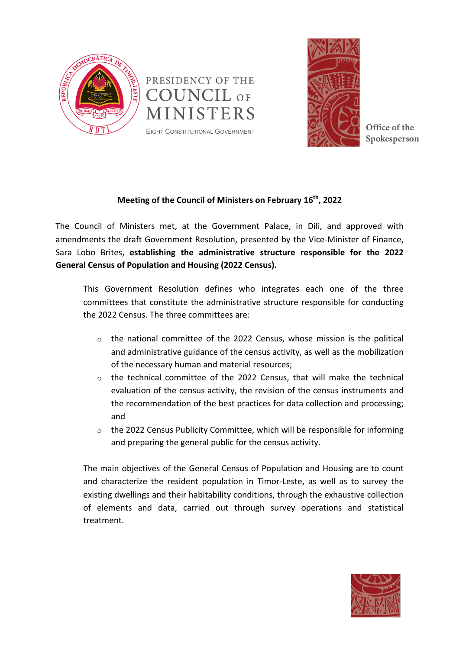



**Spokesperson** 

## **Meeting of the Council of Ministers on February 16<sup>th</sup>, 2022**

The Council of Ministers met, at the Government Palace, in Dili, and approved with amendments the draft Government Resolution, presented by the Vice-Minister of Finance, Sara Lobo Brites, establishing the administrative structure responsible for the 2022 **General Census of Population and Housing (2022 Census).** 

This Government Resolution defines who integrates each one of the three committees that constitute the administrative structure responsible for conducting the 2022 Census. The three committees are:

- $\circ$  the national committee of the 2022 Census, whose mission is the political and administrative guidance of the census activity, as well as the mobilization of the necessary human and material resources;
- $\circ$  the technical committee of the 2022 Census, that will make the technical evaluation of the census activity, the revision of the census instruments and the recommendation of the best practices for data collection and processing; and
- $\circ$  the 2022 Census Publicity Committee, which will be responsible for informing and preparing the general public for the census activity.

The main objectives of the General Census of Population and Housing are to count and characterize the resident population in Timor-Leste, as well as to survey the existing dwellings and their habitability conditions, through the exhaustive collection of elements and data, carried out through survey operations and statistical treatment.

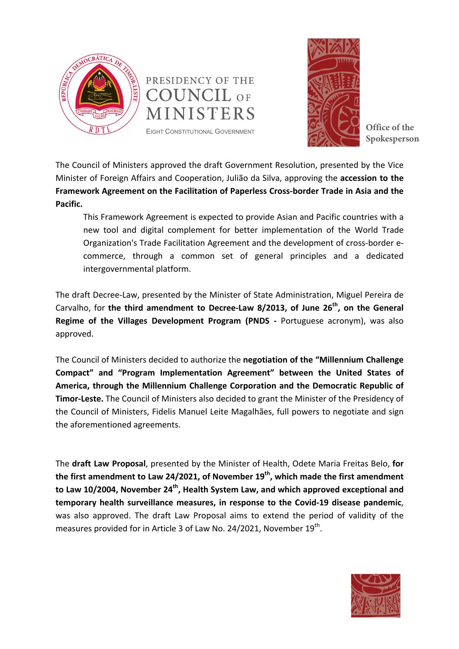





**Spokesperson** 

The Council of Ministers approved the draft Government Resolution, presented by the Vice Minister of Foreign Affairs and Cooperation, Julião da Silva, approving the **accession to the** Framework Agreement on the Facilitation of Paperless Cross-border Trade in Asia and the **Pacific.**

This Framework Agreement is expected to provide Asian and Pacific countries with a new tool and digital complement for better implementation of the World Trade Organization's Trade Facilitation Agreement and the development of cross-border ecommerce, through a common set of general principles and a dedicated intergovernmental platform.

The draft Decree-Law, presented by the Minister of State Administration, Miguel Pereira de Carvalho, for the third amendment to Decree-Law 8/2013, of June 26<sup>th</sup>, on the General **Regime of the Villages Development Program (PNDS - Portuguese acronym), was also** approved.

The Council of Ministers decided to authorize the negotiation of the "Millennium Challenge Compact" and "Program Implementation Agreement" between the United States of America, through the Millennium Challenge Corporation and the Democratic Republic of **Timor-Leste.** The Council of Ministers also decided to grant the Minister of the Presidency of the Council of Ministers, Fidelis Manuel Leite Magalhães, full powers to negotiate and sign the aforementioned agreements.

The draft Law Proposal, presented by the Minister of Health, Odete Maria Freitas Belo, for the first amendment to Law 24/2021, of November 19<sup>th</sup>, which made the first amendment to Law 10/2004, November 24<sup>th</sup>, Health System Law, and which approved exceptional and temporary health surveillance measures, in response to the Covid-19 disease pandemic, was also approved. The draft Law Proposal aims to extend the period of validity of the measures provided for in Article 3 of Law No. 24/2021, November  $19<sup>th</sup>$ .